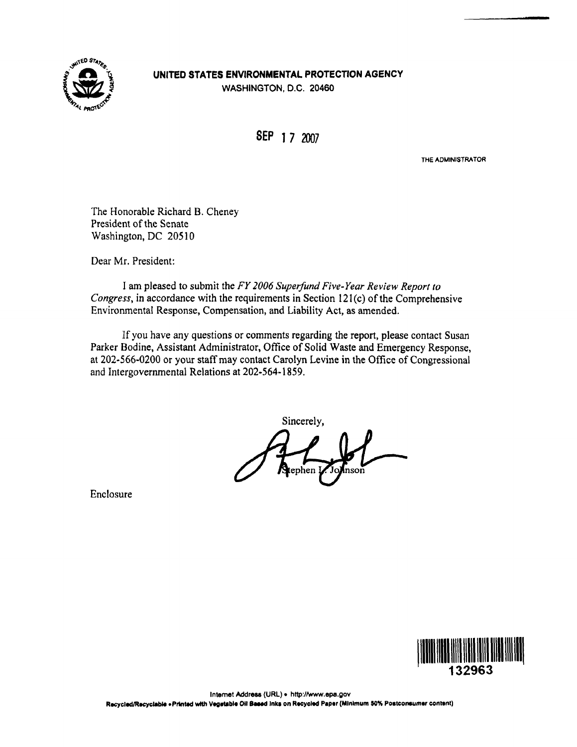

## UNITED STATES ENVIRONMENTAL PROTECTION AGENCY

WASHINGTON, D.C. 20460

SEP 1 7 2007

THE ADMINISTRATOR

The Honorable Richard B. Cheney President of the Senate Washington, DC 20510

Dear Mr. President:

I am pleased to submit the FY 2006 Superfund Five-Year Review Report to Congress, in accordance with the requirements in Section 121(c) of the Comprehensive Environmental Response, Compensation, and Liability Act, as amended.

If you have any questions or comments regarding the report, please contact Susan Parker Bodine, Assistant Administrator, Office of Solid Waste and Emergency Response, at 202-566-0200 or your staff may contact Carolyn Levine in the Office of Congressional and Intergovernmental Relations at 202-564-1859.

Sincerely,

Enclosure

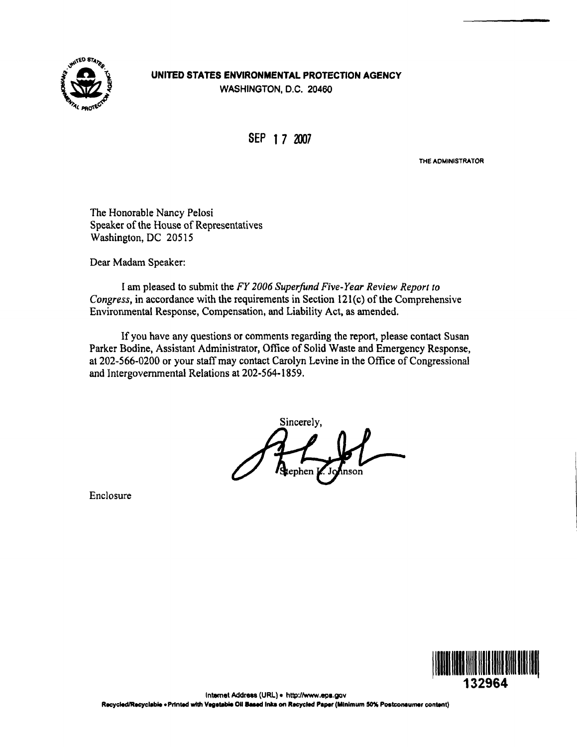

## UNITED STATES ENVIRONMENTAL PROTECTION AGENCY WASHINGTON, D.C. 20460

SEP 1 7 2007

THE ADMINISTRATOR

The Honorable Nancy Pelosi Speaker of the House of Representatives Washington, DC 20515

Dear Madam Speaker:

I am pleased to submit the FY 2006 Superfund Five-Year Review Report to Congress, in accordance with the requirements in Section 121(c) of the Comprehensive Environmental Response, Compensation, and Liability Act, as amended.

If you have any questions or comments regarding the report, please contact Susan Parker Bodine, Assistant Administrator, Office of Solid Waste and Emergency Response, at 202-566-0200 or your staff may contact Carolyn Levine in the Office of Congressional and Intergovernmental Relations at 202-564-1859.

Sincerely,

Enclosure

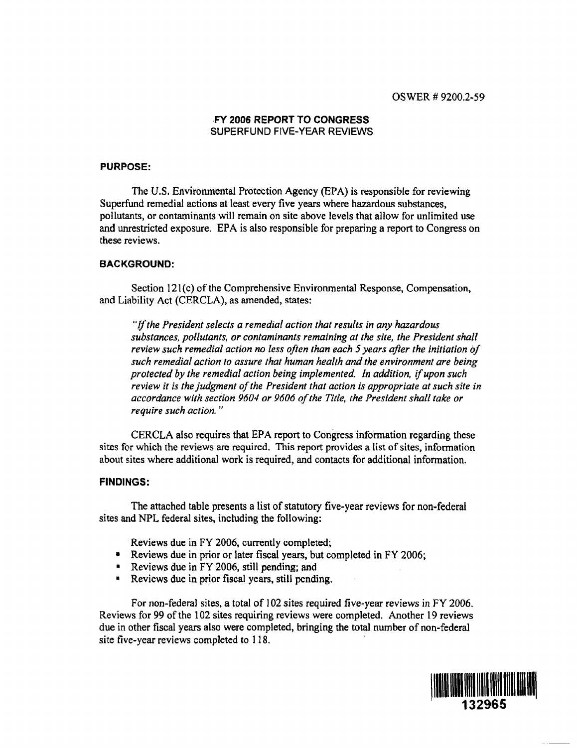### FY 2006 REPORT TO CONGRESS SUPERFUND FIVE-YEAR REVIEWS

#### PURPOSE:

The U.S. Environmental Protection Agency (EPA) is responsible for reviewing Superfund remedial actions at least every five years where hazardous substances, pollutants, or contaminants will remain on site above levels that allow for unlimited use and unrestricted exposure. EPA is also responsible for preparing a report to Congress on these reviews.

#### BACKGROUND:

Section 121(c) of the Comprehensive Environmental Response, Compensation, and Liability Act (CERCLA), as amended, states:

"If the President selects a remedial action that results in any hazardous substances, pollutants, or contaminants remaining at the site, the President shall review such remedial action no less often than each 5 years after the initiation of such remedial action to assure that human health and the environment are being protected by the remedial action being implemented. In addition, if upon such review it is the judgment of the President that action is appropriate at such site in accordance with section 9604 or 9606 of the Title, the President shall take or require such action."

CERCLA also requires that EPA report to Congress information regarding these sites for which the reviews are required. This report provides a list of sites, information about sites where additional work is required, and contacts for additional information.

#### FINDINGS:

The attached table presents a list of statutory five-year reviews for non-federal sites and NPL federal sites, including the following:

Reviews due in FY 2006, currently completed;

- Reviews due in prior or later fiscal years, but completed in FY 2006;
- Reviews due in FY 2006, still pending; and
- Reviews due in prior fiscal years, still pending.

For non-federal sites, a total of 102 sites required five-year reviews in FY 2006. Reviews for 99 of the 102 sites requiring reviews were completed. Another 19 reviews due in other fiscal years also were completed, bringing the total number of non-federal site five-year reviews completed to 118.

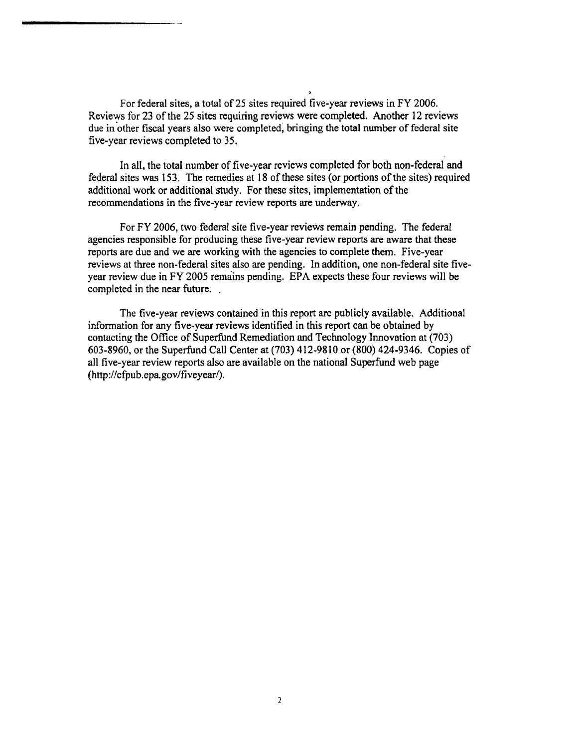For federal sites, a total of 25 sites required five-year reviews in FY 2006. Reviews for 23 of the 25 sites requiring reviews were completed. Another 12 reviews due in other fiscal years also were completed, bringing the total number of federal site five-year reviews completed to 35.

In all, the total number of five-year reviews completed for both non-federal and federal sites was 153. The remedies at 18 of these sites (or portions of the sites) required additional work or additional study. For these sites, implementation of the recommendations in the five-year review reports are underway.

For FY 2006, two federal site five-year reviews remain pending. The federal agencies responsible for producing these five-year review reports are aware that these reports are due and we are working with the agencies to complete them. Five-year reviews at three non-federal sites also are pending. In addition, one non-federal site fiveyear review due in FY 2005 remains pending. EPA expects these four reviews will be completed in the near future.

The five-year reviews contained in this report are publicly available. Additional information for any five-year reviews identified in this report can be obtained by contacting the Office of Superfund Remediation and Technology Innovation at (703) 603-8960, or the Superfund Call Center at (703) 412-9810 or (800) 424-9346. Copies of all five-year review reports also are available on the national Superfund web page (http://cfpub.epa.gov/fiveyear/).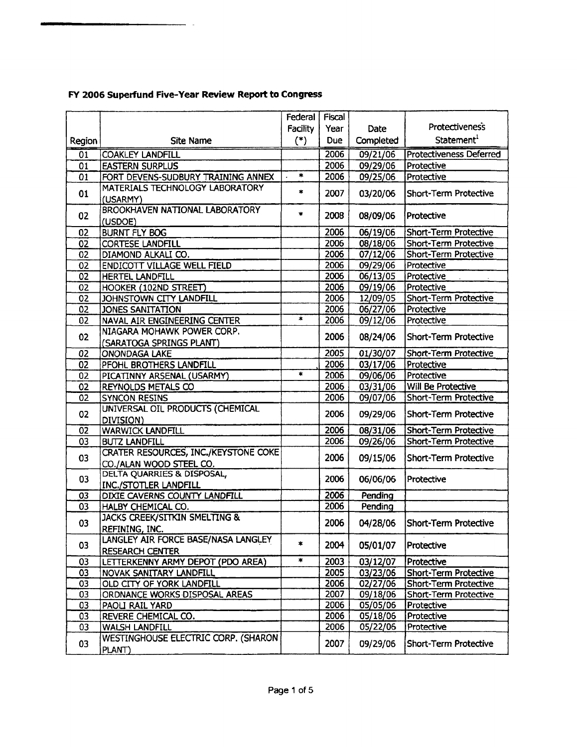|                            |                                                                        | Federal         | Fiscal       |                      |                                                              |
|----------------------------|------------------------------------------------------------------------|-----------------|--------------|----------------------|--------------------------------------------------------------|
|                            |                                                                        | <b>Facility</b> | Year         | Date                 | <b>Protectiveness</b>                                        |
| Region                     | Site Name                                                              | $(*)$           | <b>Due</b>   | Completed            | Statement <sup>1</sup>                                       |
| $\overline{01}$            | <b>COAKLEY LANDFILL</b>                                                |                 | 2006         | 09/21/06             | <b>Protectiveness Deferred</b>                               |
|                            |                                                                        |                 | 2006         | 09/29/06             | Protective                                                   |
| 01<br>01                   | <b>EASTERN SURPLUS</b><br>FORT DEVENS-SUDBURY TRAINING ANNEX           | $\pmb{\ast}$    | 2006         | 09/25/06             | Protective                                                   |
|                            | MATERIALS TECHNOLOGY LABORATORY                                        |                 |              |                      |                                                              |
| 01                         | (USARMY)                                                               | $\ast$          | 2007         | 03/20/06             | Short-Term Protective                                        |
| 02                         | <b>BROOKHAVEN NATIONAL LABORATORY</b><br>(USDOE)                       | $\bullet$       | 2008         | 08/09/06             | Protective                                                   |
| 02                         | <b>BURNT FLY BOG</b>                                                   |                 | 2006         | 06/19/06             | Short-Term Protective                                        |
| 02                         | <b>CORTESE LANDFILL</b>                                                |                 | 2006         | 08/18/06             | Short-Term Protective                                        |
| 02                         | DIAMOND ALKALI CO.                                                     |                 | 2006         | 07/12/06             | Short-Term Protective                                        |
| 02                         | <b>ENDICOTT VILLAGE WELL FIELD</b>                                     |                 | 2006         | 09/29/06             | Protective                                                   |
| 02                         | <b>HERTEL LANDFILL</b>                                                 |                 | 2006         | 06/13/05             | Protective                                                   |
| 02                         | HOOKER (102ND STREET)                                                  |                 | 2006         | 09/19/06             | Protective                                                   |
| 02                         | JOHNSTOWN CITY LANDFILL                                                |                 | 2006         | 12/09/05             | <b>Short-Term Protective</b>                                 |
| 02                         | JONES SANITATION                                                       |                 | 2006         | 06/27/06             | Protective                                                   |
| 02                         | NAVAL AIR ENGINEERING CENTER                                           | $\ast$          | 2006         | 09/12/06             | Protective                                                   |
|                            | NIAGARA MOHAWK POWER CORP.                                             |                 |              |                      |                                                              |
| 02                         | (SARATOGA SPRINGS PLANT)                                               |                 | 2006         | 08/24/06             | Short-Term Protective                                        |
| 02                         | <b>ONONDAGA LAKE</b>                                                   |                 | 2005         | 01/30/07             | <b>Short-Term Protective</b>                                 |
| 02                         | PFOHL BROTHERS LANDFILL                                                |                 | 2006         | 03/17/06             | Protective                                                   |
| 02                         | PICATINNY ARSENAL (USARMY)                                             | $\star$         | 2006         | 09/06/06             | Protective                                                   |
| 02                         | <b>REYNOLDS METALS CO</b>                                              |                 | 2006         | 03/31/06             | Will Be Protective                                           |
| $\overline{0}\overline{2}$ | <b>SYNCON RESINS</b>                                                   |                 | 2006         | 09/07/06             | Short-Term Protective                                        |
|                            | UNIVERSAL OIL PRODUCTS (CHEMICAL                                       |                 |              |                      |                                                              |
| 02                         | DIVISION)                                                              |                 | 2006         | 09/29/06             | Short-Term Protective                                        |
| 02                         | <b>WARWICK LANDFILL</b>                                                |                 | 2006         | 08/31/06             | <b>Short-Term Protective</b>                                 |
| 03                         | <b>BUTZ LANDFILL</b>                                                   |                 | 2006         | 09/26/06             | Short-Term Protective                                        |
| 03                         | <b>CRATER RESOURCES, INC./KEYSTONE COKE</b><br>CO./ALAN WOOD STEEL CO. |                 | 2006         | 09/15/06             | Short-Term Protective                                        |
| 03                         | <b>DELTA QUARRIES &amp; DISPOSAL,</b><br><b>INC./STOTLER LANDFILL</b>  |                 | 2006         | 06/06/06             | Protective                                                   |
| 03                         | DIXIE CAVERNS COUNTY LANDFILL                                          |                 | 2006         | Pending              |                                                              |
| 03                         | HALBY CHEMICAL CO.                                                     |                 | 2006         | Pending              |                                                              |
|                            | <b>JACKS CREEK/SITKIN SMELTING &amp;</b>                               |                 |              |                      |                                                              |
| 03                         | REFINING, INC.                                                         |                 | 2006         | 04/28/06             | Short-Term Protective                                        |
|                            | LANGLEY AIR FORCE BASE/NASA LANGLEY                                    |                 |              |                      |                                                              |
| 03                         | <b>RESEARCH CENTER</b>                                                 | $\mathbf{R}$    | 2004         | 05/01/07             | Protective                                                   |
| 03                         | LETTERKENNY ARMY DEPOT (PDO AREA)                                      | $\ast$          | 2003         | 03/12/07             | Protective                                                   |
| 03                         |                                                                        |                 |              |                      |                                                              |
| 03                         | NOVAK SANITARY LANDFILL                                                |                 | 2005<br>2006 | 03/23/06             | <b>Short-Term Protective</b><br><b>Short-Term Protective</b> |
| 03                         | OLD CITY OF YORK LANDFILL<br>ORDNANCE WORKS DISPOSAL AREAS             |                 | 2007         | 02/27/06<br>09/18/06 |                                                              |
| 03                         | PAOLI RAIL YARD                                                        |                 | 2006         | 05/05/06             | Short-Term Protective<br>Protective                          |
|                            | REVERE CHEMICAL CO.                                                    |                 | 2006         |                      | Protective                                                   |
| 03                         |                                                                        |                 |              | 05/18/06             |                                                              |
| 03                         | <b>WALSH LANDFILL</b>                                                  |                 | 2006         | 05/22/06             | Protective                                                   |
| 03                         | <b>WESTINGHOUSE ELECTRIC CORP. (SHARON</b><br>PLANT)                   |                 | 2007         | 09/29/06             | Short-Term Protective                                        |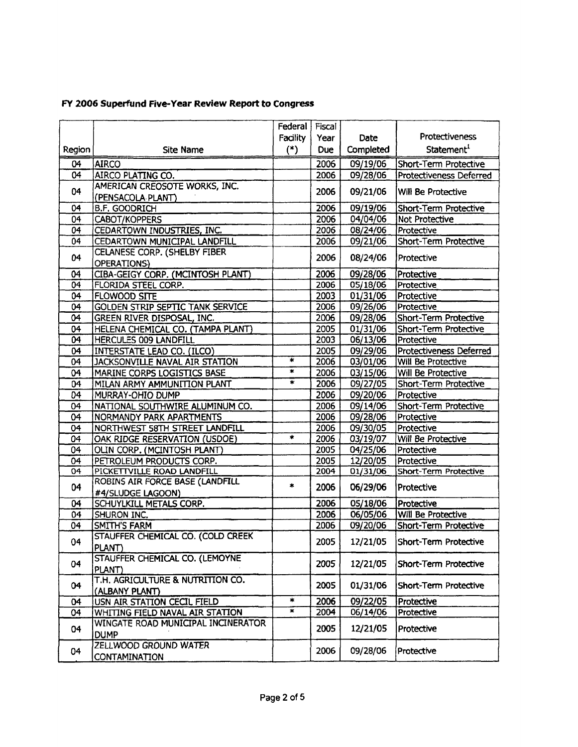|                 |                                         | Federal         | Fiscal     |           |                              |
|-----------------|-----------------------------------------|-----------------|------------|-----------|------------------------------|
|                 |                                         | <b>Facility</b> | Year       | Date      | Protectiveness               |
| Region          | <b>Site Name</b>                        | $(*)$           | <b>Due</b> | Completed | Statement <sup>1</sup>       |
| 04              | <b>AIRCO</b>                            |                 | 2006       | 09/19/06  | Short-Term Protective        |
| 04              | AIRCO PLATING CO.                       |                 | 2006       | 09/28/06  | Protectiveness Deferred      |
|                 | AMERICAN CREOSOTE WORKS, INC.           |                 |            |           |                              |
| 04              | (PENSACOLA PLANT)                       |                 | 2006       | 09/21/06  | Will Be Protective           |
| 04              | <b>B.F. GOODRICH</b>                    |                 | 2006       | 09/19/06  | Short-Term Protective        |
| 04              | <b>CABOT/KOPPERS</b>                    |                 | 2006       | 04/04/06  | Not Protective               |
| 04              | CEDARTOWN INDUSTRIES, INC.              |                 | 2006       | 08/24/06  | Protective                   |
| 04              | CEDARTOWN MUNICIPAL LANDFILL            |                 | 2006       | 09/21/06  | <b>Short-Term Protective</b> |
|                 | CELANESE CORP. (SHELBY FIBER            |                 |            |           |                              |
| 04              | OPERATIONS)                             |                 | 2006       | 08/24/06  | Protective                   |
| 04              | CIBA-GEIGY CORP. (MCINTOSH PLANT)       |                 | 2006       | 09/28/06  | Protective                   |
| $\overline{04}$ | FLORIDA STEEL CORP.                     |                 | 2006       | 05/18/06  | Protective                   |
| 04              | FLOWOOD SITE                            |                 | 2003       | 01/31/06  | Protective                   |
| 04              | <b>GOLDEN STRIP SEPTIC TANK SERVICE</b> |                 | 2006       | 09/26/06  | Protective                   |
| 04              | GREEN RIVER DISPOSAL, INC.              |                 | 2006       | 09/28/06  | Short-Term Protective        |
| 04              | HELENA CHEMICAL CO. (TAMPA PLANT)       |                 | 2005       | 01/31/06  | Short-Term Protective        |
| 04              | <b>HERCULES 009 LANDFILL</b>            |                 | 2003       | 06/13/06  | Protective                   |
| 04              | INTERSTATE LEAD CO. (ILCO)              |                 | 2005       | 09/29/06  | Protectiveness Deferred      |
| 04              | JACKSONVILLE NAVAL AIR STATION          | $\star$         | 2006       | 03/01/06  | <b>Will Be Protective</b>    |
| 04              | MARINE CORPS LOGISTICS BASE             | $\pmb{\ast}$    | 2006       | 03/15/06  | Will Be Protective           |
| 04              | MILAN ARMY AMMUNITION PLANT             | $\ast$          | 2006       | 09/27/05  | Short-Term Protective        |
| 04              | MURRAY-OHIO DUMP                        |                 | 2006       | 09/20/06  | Protective                   |
| 04              | NATIONAL SOUTHWIRE ALUMINUM CO.         |                 | 2006       | 09/14/06  | Short-Term Protective        |
| 04              | NORMANDY PARK APARTMENTS                |                 | 2006       | 09/28/06  | Protective                   |
| 04              | NORTHWEST 58TH STREET LANDFILL          |                 | 2006       | 09/30/05  | Protective                   |
| 04              | OAK RIDGE RESERVATION (USDOE)           | $\ast$          | 2006       | 03/19/07  | Will Be Protective           |
| $\overline{0}4$ | OLIN CORP. (MCINTOSH PLANT)             |                 | 2005       | 04/25/06  | Protective                   |
| 04              | PETROLEUM PRODUCTS CORP.                |                 | 2005       | 12/20/05  | Protective                   |
| $\overline{0}4$ | PICKETTVILLE ROAD LANDFILL              |                 | 2004       | 01/31/06  | Short-Term Protective        |
| 04              | ROBINS AIR FORCE BASE (LANDFILL         | $\ast$          | 2006       | 06/29/06  | Protective                   |
|                 | #4/SLUDGE LAGOON)                       |                 |            |           |                              |
| 04              | SCHUYLKILL METALS CORP.                 |                 | 2006       | 05/18/06  | Protective                   |
| 04              | SHURON INC.                             |                 | 2006       | 06/05/06  | Will Be Protective           |
| 04              | <b>SMITH'S FARM</b>                     |                 | 2006       | 09/20/06  | Short-Term Protective        |
| 04              | STAUFFER CHEMICAL CO. (COLD CREEK       |                 | 2005       | 12/21/05  | Short-Term Protective        |
|                 | PLANT)                                  |                 |            |           |                              |
| 04              | STAUFFER CHEMICAL CO. (LEMOYNE          |                 | 2005       | 12/21/05  | Short-Term Protective        |
|                 | PLANT)                                  |                 |            |           |                              |
| 04              | T.H. AGRICULTURE & NUTRITION CO.        |                 | 2005       | 01/31/06  | Short-Term Protective        |
|                 | (ALBANY PLANT)                          |                 |            |           |                              |
| 04              | USN AIR STATION CECIL FIELD             | $\star$         | 2006       | 09/22/05  | Protective                   |
| 04              | WHITING FIELD NAVAL AIR STATION         | $\pmb{\times}$  | 2004       | 06/14/06  | Protective                   |
| 04              | WINGATE ROAD MUNICIPAL INCINERATOR      |                 | 2005       | 12/21/05  | Protective                   |
|                 | <b>DUMP</b>                             |                 |            |           |                              |
| 04              | ZELLWOOD GROUND WATER                   |                 | 2006       | 09/28/06  | Protective                   |
|                 | CONTAMINATION                           |                 |            |           |                              |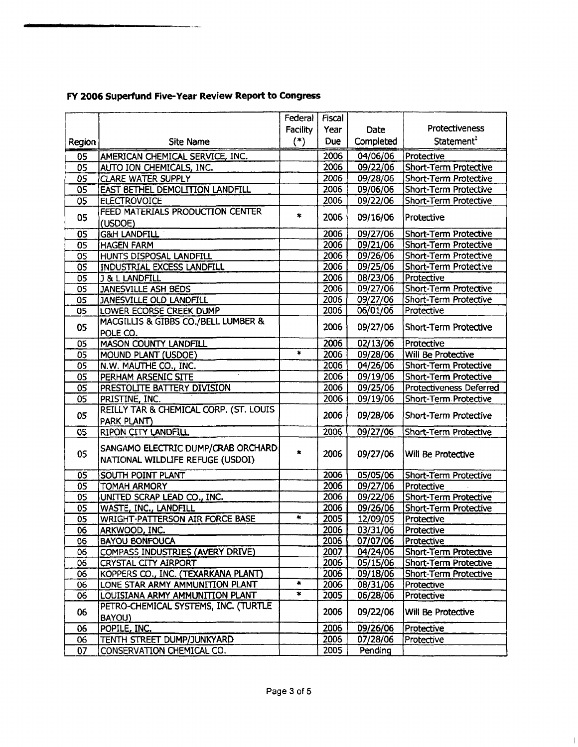|        |                                        | Federal           | Fiscal     |                     |                              |
|--------|----------------------------------------|-------------------|------------|---------------------|------------------------------|
|        |                                        | Facility          | Year       | Date                | Protectiveness               |
| Region | <b>Site Name</b>                       | $(*)$             | <b>Due</b> | Completed           | Statement <sup>1</sup>       |
| 05     | AMERICAN CHEMICAL SERVICE, INC.        |                   | 2006       | 04/06/06            | Protective                   |
| 05     | AUTO ION CHEMICALS, INC.               |                   | 2006       | 09/22/06            | <b>Short-Term Protective</b> |
| 05     | <b>CLARE WATER SUPPLY</b>              |                   | 2006       | 09/28/06            | Short-Term Protective        |
| 05     | EAST BETHEL DEMOLITION LANDFILL        |                   | 2006       | 09/06/06            | Short-Term Protective        |
| 05     | <b>ELECTROVOICE</b>                    |                   | 2006       | 09/22/06            | Short-Term Protective        |
| 05     | FEED MATERIALS PRODUCTION CENTER       | $\star$           |            |                     |                              |
|        | (USDOE)                                |                   | 2006       | 09/16/06            | Protective                   |
| 05     | <b>G&amp;H LANDFILL</b>                |                   | 2006       | 09/27/06            | Short-Term Protective        |
| 05     | <b>HAGEN FARM</b>                      |                   | 2006       | 09/21/06            | <b>Short-Term Protective</b> |
| 05     | HUNTS DISPOSAL LANDFILL                |                   | 2006       | 09/26/06            | Short-Term Protective        |
| 05     | <b>INDUSTRIAL EXCESS LANDFILL</b>      |                   | 2006       | 09/25/06            | Short-Term Protective        |
| 05     | <b>J &amp; L LANDFILL</b>              |                   | 2006       | 08/23/06            | Protective                   |
| 05     | <b>JANESVILLE ASH BEDS</b>             |                   | 2006       | $\frac{09}{27}{06}$ | Short-Term Protective        |
| 05     | JANESVILLE OLD LANDFILL                |                   | 2006       | 09/27/06            | Short-Term Protective        |
| 05     | LOWER ECORSE CREEK DUMP                |                   | 2006       | 06/01/06            | Protective                   |
| 05     | MACGILLIS & GIBBS CO./BELL LUMBER &    |                   | 2006       | 09/27/06            | Short-Term Protective        |
|        | POLE CO.                               |                   |            |                     |                              |
| 05     | <b>MASON COUNTY LANDFILL</b>           |                   | 2006       | 02/13/06            | Protective                   |
| 05     | MOUND PLANT (USDOE)                    | $\ast$            | 2006       | 09/28/06            | Will Be Protective           |
| 05     | N.W. MAUTHE CO., INC.                  |                   | 2006       | 04/26/06            | Short-Term Protective        |
| 05     | PERHAM ARSENIC SITE                    |                   | 2006       | 09/19/06            | Short-Term Protective        |
| 05     | PRESTOLITE BATTERY DIVISION            |                   | 2006       | 09/25/06            | Protectiveness Deferred      |
| 05     | PRISTINE, INC.                         |                   | 2006       | 09/19/06            | Short-Term Protective        |
| 05     | REILLY TAR & CHEMICAL CORP. (ST. LOUIS |                   | 2006       | 09/28/06            | Short-Term Protective        |
|        | PARK PLANT)                            |                   |            |                     |                              |
| 05     | <b>RIPON CITY LANDFILL</b>             |                   | 2006       | 09/27/06            | Short-Term Protective        |
| 05     | SANGAMO ELECTRIC DUMP/CRAB ORCHARD     | $\ast$            | 2006       | 09/27/06            | Will Be Protective           |
|        | NATIONAL WILDLIFE REFUGE (USDOI)       |                   |            |                     |                              |
| 05     | SOUTH POINT PLANT                      |                   | 2006       | 05/05/06            | Short-Term Protective        |
| 05     | <b>TOMAH ARMORY</b>                    |                   | 2006       | 09/27/06            | Protective                   |
| 05     | UNITED SCRAP LEAD CO., INC.            |                   | 2006       | 09/22/06            | <b>Short-Term Protective</b> |
| 05     | WASTE, INC., LANDFILL                  |                   | 2006       | 09/26/06            | Short-Term Protective        |
| 05     | WRIGHT-PATTERSON AIR FORCE BASE        | $\ast$            | 2005       | 12/09/05            | Protective                   |
| 06     | ARKWOOD, INC.                          |                   | 2006       | 03/31/06            | Protective                   |
| 06     | <b>BAYOU BONFOUCA</b>                  |                   | 2006       | 07/07/06            | Protective                   |
| 06     | COMPASS INDUSTRIES (AVERY DRIVE)       |                   | 2007       | 04/24/06            | <b>Short-Term Protective</b> |
| 06     | CRYSTAL CITY AIRPORT                   |                   | 2006       | 05/15/06            | Short-Term Protective        |
| 06     | KOPPERS CO., INC. (TEXARKANA PLANT)    |                   | 2006       | 09/18/06            | Short-Term Protective        |
| 06     | LONE STAR ARMY AMMUNITION PLANT        | $\star$           | 2006       | 08/31/06            | Protective                   |
| 06     | LOUISIANA ARMY AMMUNITION PLANT        | $\overline{\ast}$ | 2005       | 06/28/06            | Protective                   |
| 06     | PETRO-CHEMICAL SYSTEMS, INC. (TURTLE   |                   | 2006       | 09/22/06            | Will Be Protective           |
|        | BAYOU)                                 |                   |            |                     |                              |
| 06     | POPILE, INC.                           |                   | 2006       | 09/26/06            | Protective                   |
| 06     | TENTH STREET DUMP/JUNKYARD             |                   | 2006       | 07/28/06            | Protective                   |
| 07     | CONSERVATION CHEMICAL CO.              |                   | 2005       | Pending             |                              |

 $\overline{\phantom{a}}$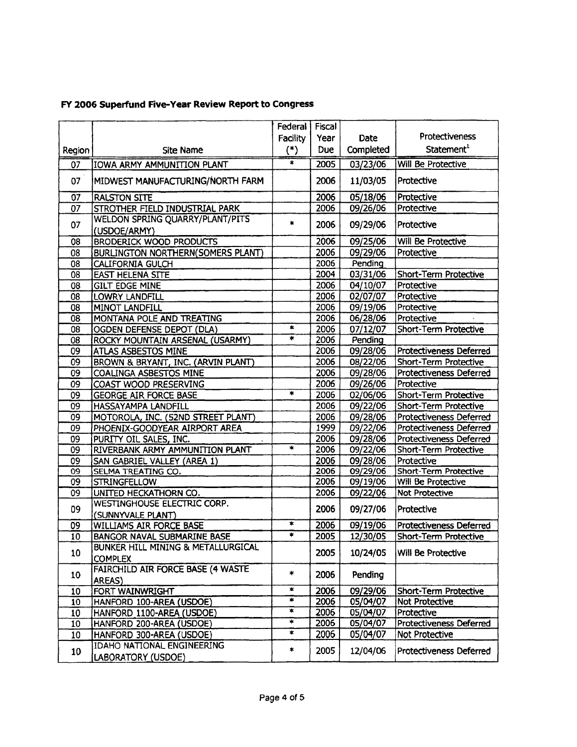|                 |                                                 | Federal       | Fiscal |           |                                |
|-----------------|-------------------------------------------------|---------------|--------|-----------|--------------------------------|
|                 |                                                 | Facility      | Year   | Date      | <b>Protectiveness</b>          |
| Region          | <b>Site Name</b>                                | $(\cdot)$     | Due    | Completed | Statement <sup>1</sup>         |
| 07              | IOWA ARMY AMMUNITION PLANT                      | ×             | 2005   | 03/23/06  | <b>Will Be Protective</b>      |
| 07              | MIDWEST MANUFACTURING/NORTH FARM                |               | 2006   | 11/03/05  | Protective                     |
| $\overline{07}$ | <b>RALSTON SITE</b>                             |               | 2006   | 05/18/06  | Protective                     |
| 07              | STROTHER FIELD INDUSTRIAL PARK                  |               | 2006   | 09/26/06  | Protective                     |
| 07              | WELDON SPRING QUARRY/PLANT/PITS<br>(USDOE/ARMY) | $\ast$        | 2006   | 09/29/06  | Protective                     |
| 08              | <b>BRODERICK WOOD PRODUCTS</b>                  |               | 2006   | 09/25/06  | Will Be Protective             |
| 08              | <b>BURLINGTON NORTHERN(SOMERS PLANT)</b>        |               | 2006   | 09/29/06  | Protective                     |
| 08              | <b>CALIFORNIA GULCH</b>                         |               | 2006   | Pending   |                                |
| $\overline{08}$ | <b>EAST HELENA SITE</b>                         |               | 2004   | 03/31/06  | Short-Term Protective          |
| 08              | <b>GILT EDGE MINE</b>                           |               | 2006   | 04/10/07  | Protective                     |
| 08              | LOWRY LANDFILL                                  |               | 2006   | 02/07/07  | Protective                     |
| 08              | MINOT LANDFILL                                  |               | 2006   | 09/19/06  | Protective                     |
| $\overline{08}$ | MONTANA POLE AND TREATING                       |               | 2006   | 06/28/06  | Protective                     |
| 08              | OGDEN DEFENSE DEPOT (DLA)                       | $\star$       | 2006   | 07/12/07  | Short-Term Protective          |
| 08              | ROCKY MOUNTAIN ARSENAL (USARMY)                 | $\ast$        | 2006   | Pending   |                                |
| 09              | ATLAS ASBESTOS MINE                             |               | 2006   | 09/28/06  | <b>Protectiveness Deferred</b> |
| $\overline{09}$ | BROWN & BRYANT, INC. (ARVIN PLANT)              |               | 2006   | 08/22/06  | <b>Short-Term Protective</b>   |
| 09              | <b>COALINGA ASBESTOS MINE</b>                   |               | 2006   | 09/28/06  | Protectiveness Deferred        |
| 09              | COAST WOOD PRESERVING                           |               | 2006   | 09/26/06  | Protective                     |
| 09              | <b>GEORGE AIR FORCE BASE</b>                    | $\ast$        | 2006   | 02/06/06  | <b>Short-Term Protective</b>   |
| $\overline{09}$ | HASSAYAMPA LANDFILL                             |               | 2006   | 09/22/06  | Short-Term Protective          |
| $\overline{09}$ | MOTOROLA, INC. (52ND STREET PLANT)              |               | 2006   | 09/28/06  | Protectiveness Deferred        |
| 09              | PHOENIX-GOODYEAR AIRPORT AREA                   |               | 1999   | 09/22/06  | Protectiveness Deferred        |
| 09              | PURITY OIL SALES, INC.                          |               | 2006   | 09/28/06  | Protectiveness Deferred        |
| 09              | RIVERBANK ARMY AMMUNITION PLANT                 | $\star$       | 2006   | 09/22/06  | Short-Term Protective          |
| $\overline{09}$ | SAN GABRIEL VALLEY (AREA 1)                     |               | 2006   | 09/28/06  | Protective                     |
| $\overline{09}$ | SELMA TREATING CO.                              |               | 2006   | 09/29/06  | Short-Term Protective          |
| 09              | <b>STRINGFELLOW</b>                             |               | 2006   | 09/19/06  | Will Be Protective             |
| 09              | UNITED HECKATHORN CO.                           |               | 2006   | 09/22/06  | <b>Not Protective</b>          |
|                 | WESTINGHOUSE ELECTRIC CORP.                     |               |        |           |                                |
| 09              | (SUNNYVALE PLANT)                               |               | 2006   | 09/27/06  | Protective                     |
| 09              | WILLIAMS AIR FORCE BASE                         | *             | 2006   | 09/19/06  | Protectiveness Deferred        |
| 10              | BANGOR NAVAL SUBMARINE BASE                     | ۳             | 2005   | 12/30/05  | Short-Term Protective          |
|                 | BUNKER HILL MINING & METALLURGICAL              |               |        |           |                                |
| 10              | <b>COMPLEX</b>                                  |               | 2005   | 10/24/05  | Will Be Protective             |
|                 | FAIRCHILD AIR FORCE BASE (4 WASTE               |               |        |           |                                |
| 10              | AREAS)                                          | $\pmb{\ast}$  | 2006   | Pending   |                                |
| 10              | FORT WAINWRIGHT                                 | $\pmb{\ast}$  | 2006   | 09/29/06  | Short-Term Protective          |
| 10              | HANFORD 100-AREA (USDOE)                        | $\star$       | 2006   | 05/04/07  | Not Protective                 |
| 10              | HANFORD 1100-AREA (USDOE)                       | *             | 2006   | 05/04/07  | Protective                     |
| 10              | HANFORD 200-AREA (USDOE)                        | $\frac{1}{2}$ | 2006   | 05/04/07  | Protectiveness Deferred        |
| 10              | HANFORD 300-AREA (USDOE)                        | $\ast$        | 2006   | 05/04/07  | Not Protective                 |
|                 | <b>IDAHO NATIONAL ENGINEERING</b>               |               |        |           |                                |
| 10              | LABORATORY (USDOE)                              | $\star$       | 2005   | 12/04/06  | Protectiveness Deferred        |